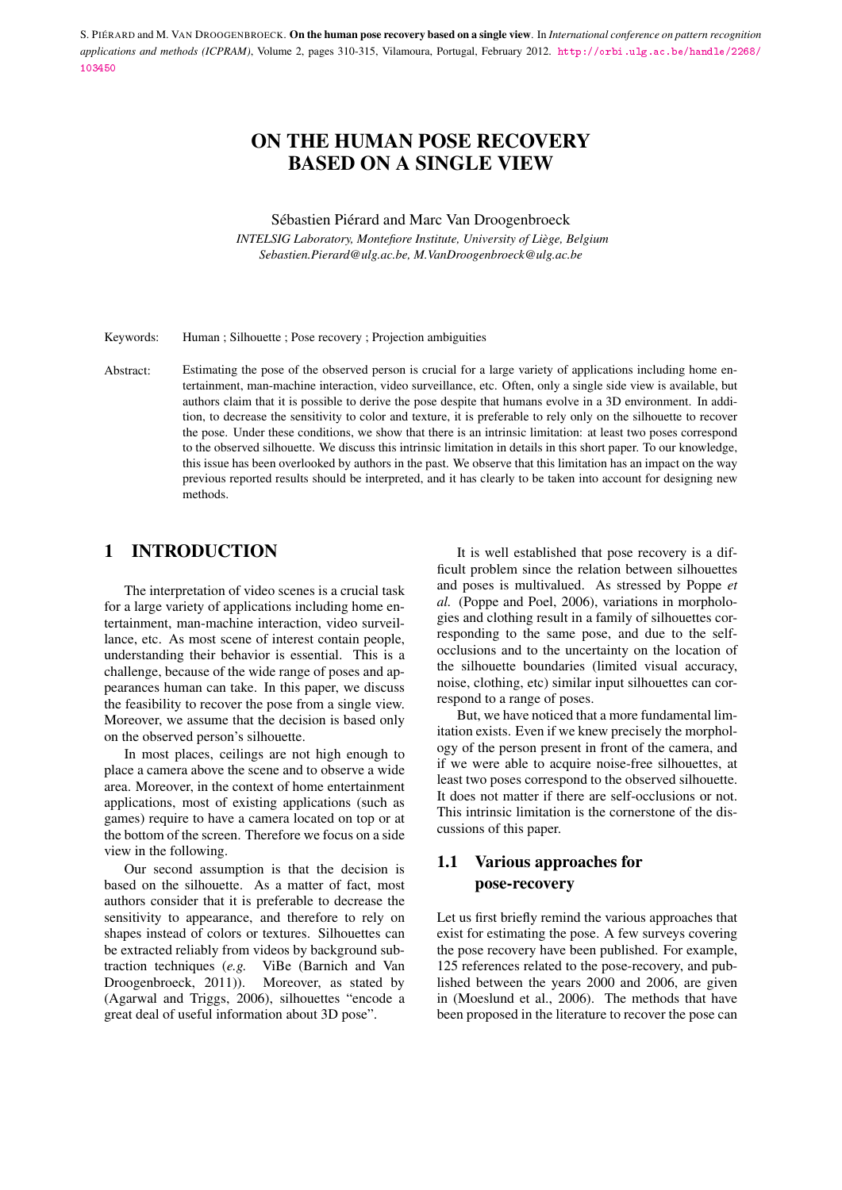# ON THE HUMAN POSE RECOVERY BASED ON A SINGLE VIEW

#### Sébastien Piérard and Marc Van Droogenbroeck

*INTELSIG Laboratory, Montefiore Institute, University of Liège, Belgium Sebastien.Pierard@ulg.ac.be, M.VanDroogenbroeck@ulg.ac.be*

Keywords: Human ; Silhouette ; Pose recovery ; Projection ambiguities

Abstract: Estimating the pose of the observed person is crucial for a large variety of applications including home entertainment, man-machine interaction, video surveillance, etc. Often, only a single side view is available, but authors claim that it is possible to derive the pose despite that humans evolve in a 3D environment. In addition, to decrease the sensitivity to color and texture, it is preferable to rely only on the silhouette to recover the pose. Under these conditions, we show that there is an intrinsic limitation: at least two poses correspond to the observed silhouette. We discuss this intrinsic limitation in details in this short paper. To our knowledge, this issue has been overlooked by authors in the past. We observe that this limitation has an impact on the way previous reported results should be interpreted, and it has clearly to be taken into account for designing new methods.

# 1 INTRODUCTION

The interpretation of video scenes is a crucial task for a large variety of applications including home entertainment, man-machine interaction, video surveillance, etc. As most scene of interest contain people, understanding their behavior is essential. This is a challenge, because of the wide range of poses and appearances human can take. In this paper, we discuss the feasibility to recover the pose from a single view. Moreover, we assume that the decision is based only on the observed person's silhouette.

In most places, ceilings are not high enough to place a camera above the scene and to observe a wide area. Moreover, in the context of home entertainment applications, most of existing applications (such as games) require to have a camera located on top or at the bottom of the screen. Therefore we focus on a side view in the following.

Our second assumption is that the decision is based on the silhouette. As a matter of fact, most authors consider that it is preferable to decrease the sensitivity to appearance, and therefore to rely on shapes instead of colors or textures. Silhouettes can be extracted reliably from videos by background subtraction techniques (*e.g.* ViBe (Barnich and Van Droogenbroeck, 2011)). Moreover, as stated by (Agarwal and Triggs, 2006), silhouettes "encode a great deal of useful information about 3D pose".

It is well established that pose recovery is a difficult problem since the relation between silhouettes and poses is multivalued. As stressed by Poppe *et al.* (Poppe and Poel, 2006), variations in morphologies and clothing result in a family of silhouettes corresponding to the same pose, and due to the selfocclusions and to the uncertainty on the location of the silhouette boundaries (limited visual accuracy, noise, clothing, etc) similar input silhouettes can correspond to a range of poses.

But, we have noticed that a more fundamental limitation exists. Even if we knew precisely the morphology of the person present in front of the camera, and if we were able to acquire noise-free silhouettes, at least two poses correspond to the observed silhouette. It does not matter if there are self-occlusions or not. This intrinsic limitation is the cornerstone of the discussions of this paper.

# 1.1 Various approaches for pose-recovery

Let us first briefly remind the various approaches that exist for estimating the pose. A few surveys covering the pose recovery have been published. For example, 125 references related to the pose-recovery, and published between the years 2000 and 2006, are given in (Moeslund et al., 2006). The methods that have been proposed in the literature to recover the pose can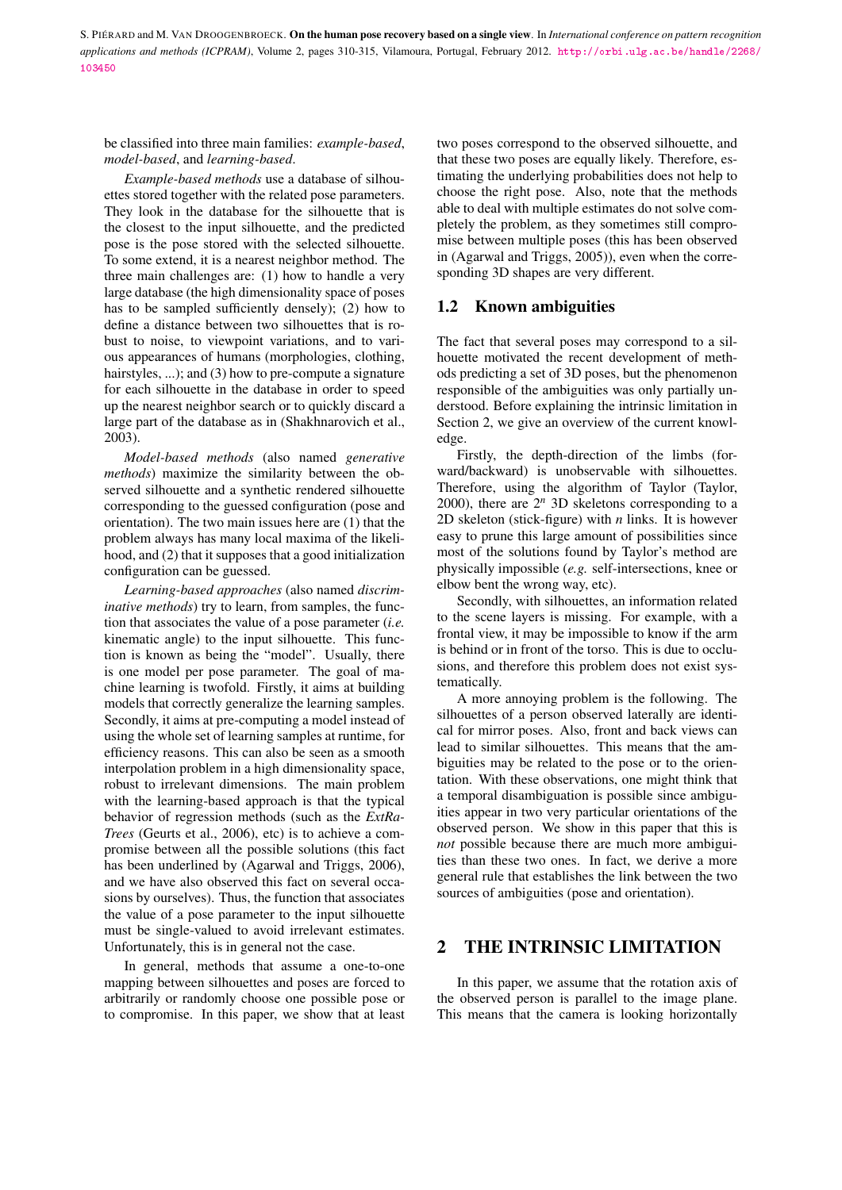be classified into three main families: *example-based*, *model-based*, and *learning-based*.

*Example-based methods* use a database of silhouettes stored together with the related pose parameters. They look in the database for the silhouette that is the closest to the input silhouette, and the predicted pose is the pose stored with the selected silhouette. To some extend, it is a nearest neighbor method. The three main challenges are: (1) how to handle a very large database (the high dimensionality space of poses has to be sampled sufficiently densely); (2) how to define a distance between two silhouettes that is robust to noise, to viewpoint variations, and to various appearances of humans (morphologies, clothing, hairstyles, ...); and (3) how to pre-compute a signature for each silhouette in the database in order to speed up the nearest neighbor search or to quickly discard a large part of the database as in (Shakhnarovich et al., 2003).

*Model-based methods* (also named *generative methods*) maximize the similarity between the observed silhouette and a synthetic rendered silhouette corresponding to the guessed configuration (pose and orientation). The two main issues here are (1) that the problem always has many local maxima of the likelihood, and (2) that it supposes that a good initialization configuration can be guessed.

*Learning-based approaches* (also named *discriminative methods*) try to learn, from samples, the function that associates the value of a pose parameter (*i.e.* kinematic angle) to the input silhouette. This function is known as being the "model". Usually, there is one model per pose parameter. The goal of machine learning is twofold. Firstly, it aims at building models that correctly generalize the learning samples. Secondly, it aims at pre-computing a model instead of using the whole set of learning samples at runtime, for efficiency reasons. This can also be seen as a smooth interpolation problem in a high dimensionality space, robust to irrelevant dimensions. The main problem with the learning-based approach is that the typical behavior of regression methods (such as the *ExtRa-Trees* (Geurts et al., 2006), etc) is to achieve a compromise between all the possible solutions (this fact has been underlined by (Agarwal and Triggs, 2006), and we have also observed this fact on several occasions by ourselves). Thus, the function that associates the value of a pose parameter to the input silhouette must be single-valued to avoid irrelevant estimates. Unfortunately, this is in general not the case.

In general, methods that assume a one-to-one mapping between silhouettes and poses are forced to arbitrarily or randomly choose one possible pose or to compromise. In this paper, we show that at least

two poses correspond to the observed silhouette, and that these two poses are equally likely. Therefore, estimating the underlying probabilities does not help to choose the right pose. Also, note that the methods able to deal with multiple estimates do not solve completely the problem, as they sometimes still compromise between multiple poses (this has been observed in (Agarwal and Triggs, 2005)), even when the corresponding 3D shapes are very different.

#### 1.2 Known ambiguities

The fact that several poses may correspond to a silhouette motivated the recent development of methods predicting a set of 3D poses, but the phenomenon responsible of the ambiguities was only partially understood. Before explaining the intrinsic limitation in Section 2, we give an overview of the current knowledge.

Firstly, the depth-direction of the limbs (forward/backward) is unobservable with silhouettes. Therefore, using the algorithm of Taylor (Taylor, 2000), there are  $2^n$  3D skeletons corresponding to a 2D skeleton (stick-figure) with *n* links. It is however easy to prune this large amount of possibilities since most of the solutions found by Taylor's method are physically impossible (*e.g.* self-intersections, knee or elbow bent the wrong way, etc).

Secondly, with silhouettes, an information related to the scene layers is missing. For example, with a frontal view, it may be impossible to know if the arm is behind or in front of the torso. This is due to occlusions, and therefore this problem does not exist systematically.

A more annoying problem is the following. The silhouettes of a person observed laterally are identical for mirror poses. Also, front and back views can lead to similar silhouettes. This means that the ambiguities may be related to the pose or to the orientation. With these observations, one might think that a temporal disambiguation is possible since ambiguities appear in two very particular orientations of the observed person. We show in this paper that this is *not* possible because there are much more ambiguities than these two ones. In fact, we derive a more general rule that establishes the link between the two sources of ambiguities (pose and orientation).

### 2 THE INTRINSIC LIMITATION

In this paper, we assume that the rotation axis of the observed person is parallel to the image plane. This means that the camera is looking horizontally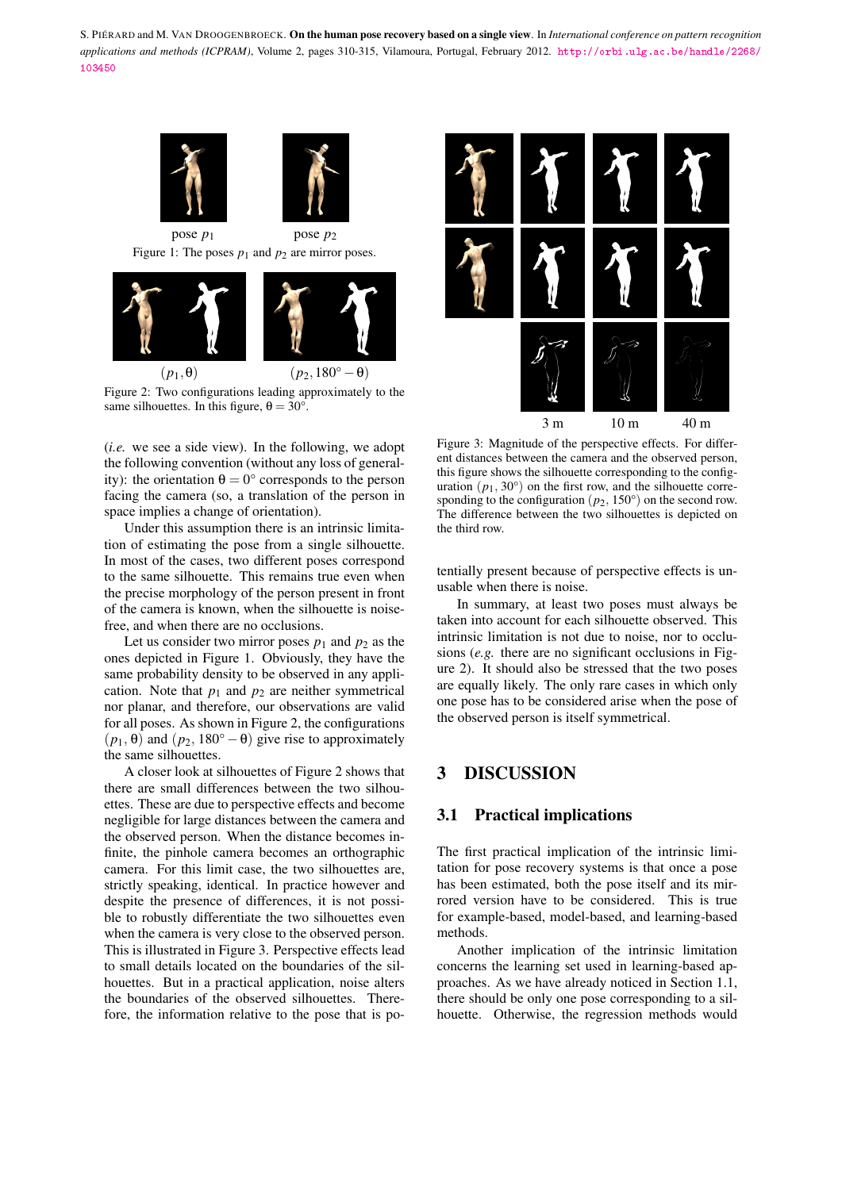

(*i.e.* we see a side view). In the following, we adopt the following convention (without any loss of generality): the orientation  $\theta = 0^{\circ}$  corresponds to the person facing the camera (so, a translation of the person in space implies a change of orientation).

Under this assumption there is an intrinsic limitation of estimating the pose from a single silhouette. In most of the cases, two different poses correspond to the same silhouette. This remains true even when the precise morphology of the person present in front of the camera is known, when the silhouette is noisefree, and when there are no occlusions.

Let us consider two mirror poses  $p_1$  and  $p_2$  as the ones depicted in Figure 1. Obviously, they have the same probability density to be observed in any application. Note that  $p_1$  and  $p_2$  are neither symmetrical nor planar, and therefore, our observations are valid for all poses. As shown in Figure 2, the configurations  $(p_1, \theta)$  and  $(p_2, 180^\circ - \theta)$  give rise to approximately the same silhouettes.

A closer look at silhouettes of Figure 2 shows that there are small differences between the two silhouettes. These are due to perspective effects and become negligible for large distances between the camera and the observed person. When the distance becomes infinite, the pinhole camera becomes an orthographic camera. For this limit case, the two silhouettes are, strictly speaking, identical. In practice however and despite the presence of differences, it is not possible to robustly differentiate the two silhouettes even when the camera is very close to the observed person. This is illustrated in Figure 3. Perspective effects lead to small details located on the boundaries of the silhouettes. But in a practical application, noise alters the boundaries of the observed silhouettes. Therefore, the information relative to the pose that is po-



Figure 3: Magnitude of the perspective effects. For different distances between the camera and the observed person, this figure shows the silhouette corresponding to the configuration  $(p_1, 30^\circ)$  on the first row, and the silhouette corresponding to the configuration  $(p_2, 150^\circ)$  on the second row. The difference between the two silhouettes is depicted on the third row.

tentially present because of perspective effects is unusable when there is noise.

In summary, at least two poses must always be taken into account for each silhouette observed. This intrinsic limitation is not due to noise, nor to occlusions (*e.g.* there are no significant occlusions in Figure 2). It should also be stressed that the two poses are equally likely. The only rare cases in which only one pose has to be considered arise when the pose of the observed person is itself symmetrical.

### 3 DISCUSSION

#### 3.1 Practical implications

The first practical implication of the intrinsic limitation for pose recovery systems is that once a pose has been estimated, both the pose itself and its mirrored version have to be considered. This is true for example-based, model-based, and learning-based methods.

Another implication of the intrinsic limitation concerns the learning set used in learning-based approaches. As we have already noticed in Section 1.1, there should be only one pose corresponding to a silhouette. Otherwise, the regression methods would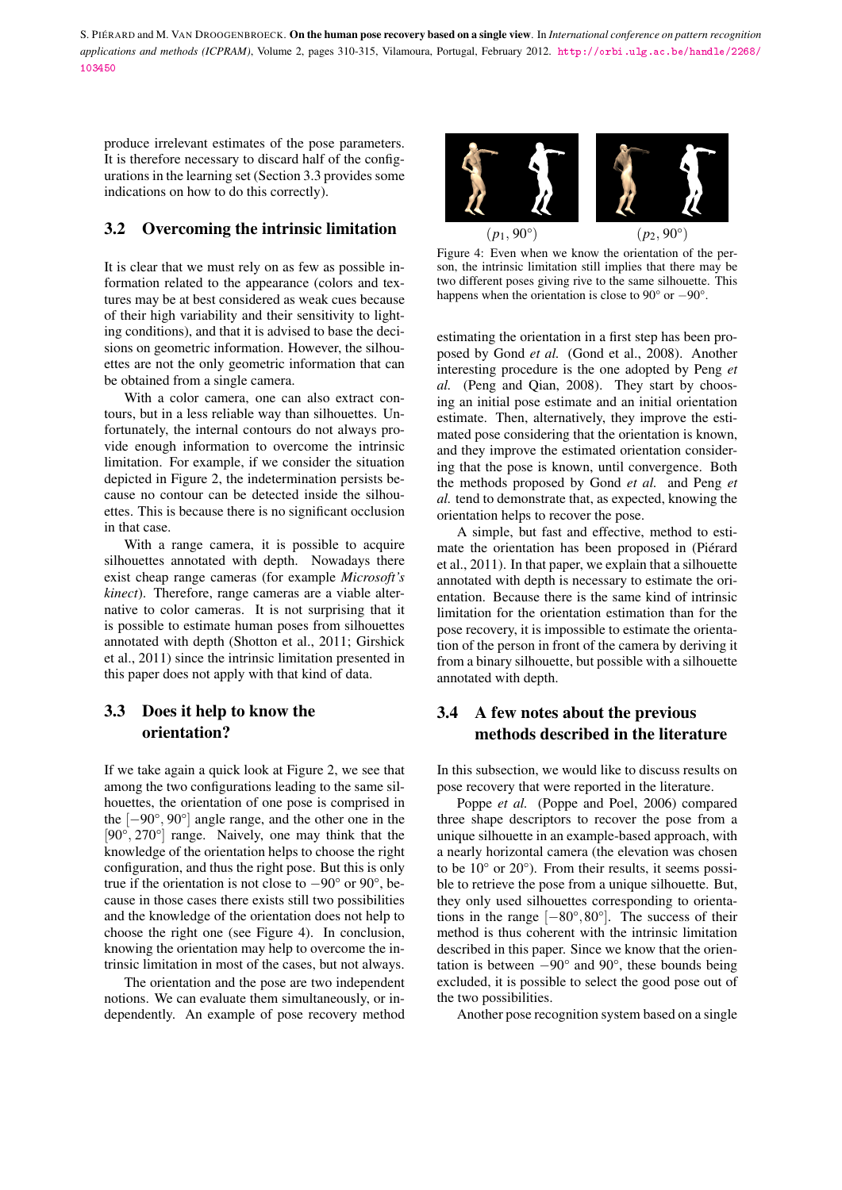produce irrelevant estimates of the pose parameters. It is therefore necessary to discard half of the configurations in the learning set (Section 3.3 provides some indications on how to do this correctly).

### 3.2 Overcoming the intrinsic limitation

It is clear that we must rely on as few as possible information related to the appearance (colors and textures may be at best considered as weak cues because of their high variability and their sensitivity to lighting conditions), and that it is advised to base the decisions on geometric information. However, the silhouettes are not the only geometric information that can be obtained from a single camera.

With a color camera, one can also extract contours, but in a less reliable way than silhouettes. Unfortunately, the internal contours do not always provide enough information to overcome the intrinsic limitation. For example, if we consider the situation depicted in Figure 2, the indetermination persists because no contour can be detected inside the silhouettes. This is because there is no significant occlusion in that case.

With a range camera, it is possible to acquire silhouettes annotated with depth. Nowadays there exist cheap range cameras (for example *Microsoft's kinect*). Therefore, range cameras are a viable alternative to color cameras. It is not surprising that it is possible to estimate human poses from silhouettes annotated with depth (Shotton et al., 2011; Girshick et al., 2011) since the intrinsic limitation presented in this paper does not apply with that kind of data.

# 3.3 Does it help to know the orientation?

If we take again a quick look at Figure 2, we see that among the two configurations leading to the same silhouettes, the orientation of one pose is comprised in the [−90°, 90°] angle range, and the other one in the [90°, 270°] range. Naively, one may think that the knowledge of the orientation helps to choose the right configuration, and thus the right pose. But this is only true if the orientation is not close to  $-90^\circ$  or  $90^\circ$ , because in those cases there exists still two possibilities and the knowledge of the orientation does not help to choose the right one (see Figure 4). In conclusion, knowing the orientation may help to overcome the intrinsic limitation in most of the cases, but not always.

The orientation and the pose are two independent notions. We can evaluate them simultaneously, or independently. An example of pose recovery method



Figure 4: Even when we know the orientation of the person, the intrinsic limitation still implies that there may be two different poses giving rive to the same silhouette. This happens when the orientation is close to 90° or −90°.

estimating the orientation in a first step has been proposed by Gond *et al.* (Gond et al., 2008). Another interesting procedure is the one adopted by Peng *et al.* (Peng and Qian, 2008). They start by choosing an initial pose estimate and an initial orientation estimate. Then, alternatively, they improve the estimated pose considering that the orientation is known, and they improve the estimated orientation considering that the pose is known, until convergence. Both the methods proposed by Gond *et al.* and Peng *et al.* tend to demonstrate that, as expected, knowing the orientation helps to recover the pose.

A simple, but fast and effective, method to estimate the orientation has been proposed in (Piérard et al., 2011). In that paper, we explain that a silhouette annotated with depth is necessary to estimate the orientation. Because there is the same kind of intrinsic limitation for the orientation estimation than for the pose recovery, it is impossible to estimate the orientation of the person in front of the camera by deriving it from a binary silhouette, but possible with a silhouette annotated with depth.

# 3.4 A few notes about the previous methods described in the literature

In this subsection, we would like to discuss results on pose recovery that were reported in the literature.

Poppe *et al.* (Poppe and Poel, 2006) compared three shape descriptors to recover the pose from a unique silhouette in an example-based approach, with a nearly horizontal camera (the elevation was chosen to be  $10^{\circ}$  or  $20^{\circ}$ ). From their results, it seems possible to retrieve the pose from a unique silhouette. But, they only used silhouettes corresponding to orientations in the range  $[-80^{\circ}, 80^{\circ}]$ . The success of their method is thus coherent with the intrinsic limitation described in this paper. Since we know that the orientation is between  $-90^\circ$  and  $90^\circ$ , these bounds being excluded, it is possible to select the good pose out of the two possibilities.

Another pose recognition system based on a single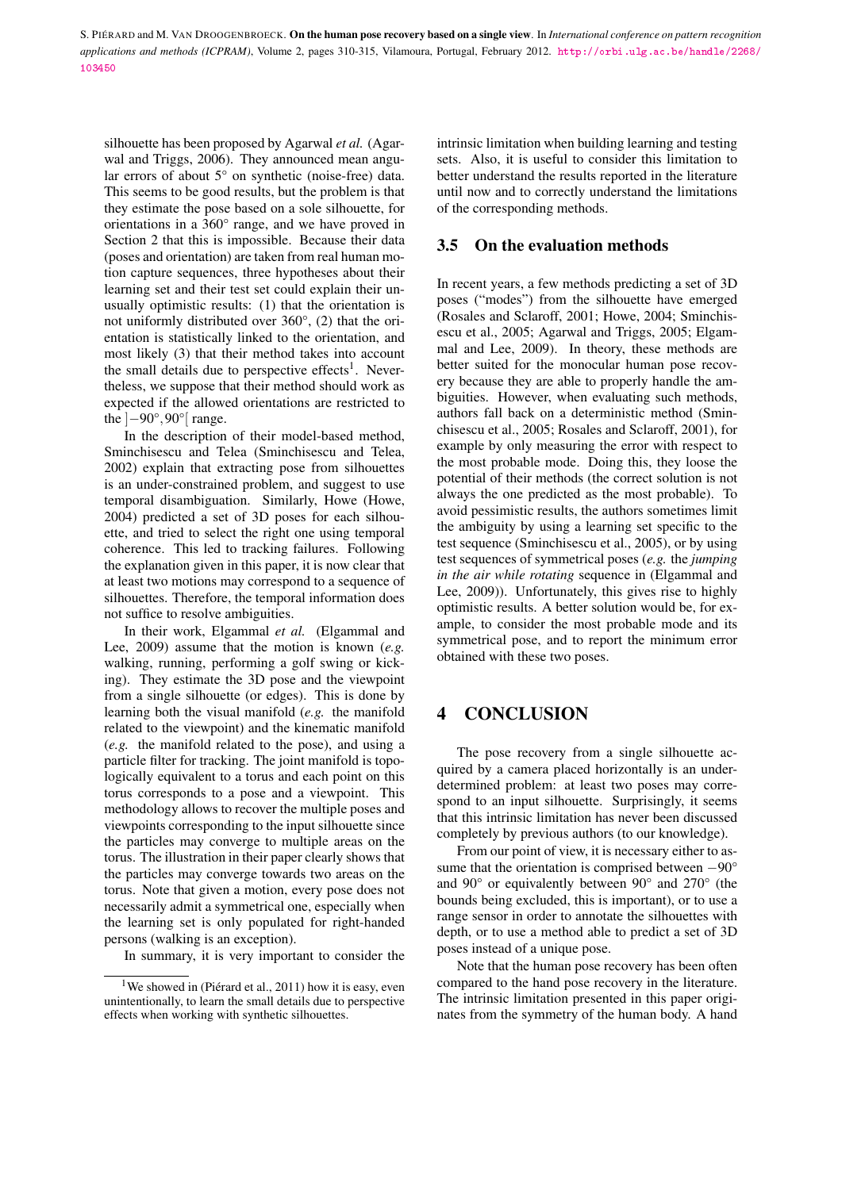silhouette has been proposed by Agarwal *et al.* (Agarwal and Triggs, 2006). They announced mean angular errors of about 5° on synthetic (noise-free) data. This seems to be good results, but the problem is that they estimate the pose based on a sole silhouette, for orientations in a 360° range, and we have proved in Section 2 that this is impossible. Because their data (poses and orientation) are taken from real human motion capture sequences, three hypotheses about their learning set and their test set could explain their unusually optimistic results: (1) that the orientation is not uniformly distributed over 360°, (2) that the orientation is statistically linked to the orientation, and most likely (3) that their method takes into account the small details due to perspective effects<sup>1</sup>. Nevertheless, we suppose that their method should work as expected if the allowed orientations are restricted to the  $[-90^\circ, 90^\circ]$  range.

In the description of their model-based method, Sminchisescu and Telea (Sminchisescu and Telea, 2002) explain that extracting pose from silhouettes is an under-constrained problem, and suggest to use temporal disambiguation. Similarly, Howe (Howe, 2004) predicted a set of 3D poses for each silhouette, and tried to select the right one using temporal coherence. This led to tracking failures. Following the explanation given in this paper, it is now clear that at least two motions may correspond to a sequence of silhouettes. Therefore, the temporal information does not suffice to resolve ambiguities.

In their work, Elgammal *et al.* (Elgammal and Lee, 2009) assume that the motion is known (*e.g.* walking, running, performing a golf swing or kicking). They estimate the 3D pose and the viewpoint from a single silhouette (or edges). This is done by learning both the visual manifold (*e.g.* the manifold related to the viewpoint) and the kinematic manifold (*e.g.* the manifold related to the pose), and using a particle filter for tracking. The joint manifold is topologically equivalent to a torus and each point on this torus corresponds to a pose and a viewpoint. This methodology allows to recover the multiple poses and viewpoints corresponding to the input silhouette since the particles may converge to multiple areas on the torus. The illustration in their paper clearly shows that the particles may converge towards two areas on the torus. Note that given a motion, every pose does not necessarily admit a symmetrical one, especially when the learning set is only populated for right-handed persons (walking is an exception).

In summary, it is very important to consider the

intrinsic limitation when building learning and testing sets. Also, it is useful to consider this limitation to better understand the results reported in the literature until now and to correctly understand the limitations of the corresponding methods.

#### 3.5 On the evaluation methods

In recent years, a few methods predicting a set of 3D poses ("modes") from the silhouette have emerged (Rosales and Sclaroff, 2001; Howe, 2004; Sminchisescu et al., 2005; Agarwal and Triggs, 2005; Elgammal and Lee, 2009). In theory, these methods are better suited for the monocular human pose recovery because they are able to properly handle the ambiguities. However, when evaluating such methods, authors fall back on a deterministic method (Sminchisescu et al., 2005; Rosales and Sclaroff, 2001), for example by only measuring the error with respect to the most probable mode. Doing this, they loose the potential of their methods (the correct solution is not always the one predicted as the most probable). To avoid pessimistic results, the authors sometimes limit the ambiguity by using a learning set specific to the test sequence (Sminchisescu et al., 2005), or by using test sequences of symmetrical poses (*e.g.* the *jumping in the air while rotating* sequence in (Elgammal and Lee, 2009)). Unfortunately, this gives rise to highly optimistic results. A better solution would be, for example, to consider the most probable mode and its symmetrical pose, and to report the minimum error obtained with these two poses.

# 4 CONCLUSION

The pose recovery from a single silhouette acquired by a camera placed horizontally is an underdetermined problem: at least two poses may correspond to an input silhouette. Surprisingly, it seems that this intrinsic limitation has never been discussed completely by previous authors (to our knowledge).

From our point of view, it is necessary either to assume that the orientation is comprised between −90° and 90° or equivalently between 90° and 270° (the bounds being excluded, this is important), or to use a range sensor in order to annotate the silhouettes with depth, or to use a method able to predict a set of 3D poses instead of a unique pose.

Note that the human pose recovery has been often compared to the hand pose recovery in the literature. The intrinsic limitation presented in this paper originates from the symmetry of the human body. A hand

<sup>&</sup>lt;sup>1</sup>We showed in (Piérard et al., 2011) how it is easy, even unintentionally, to learn the small details due to perspective effects when working with synthetic silhouettes.